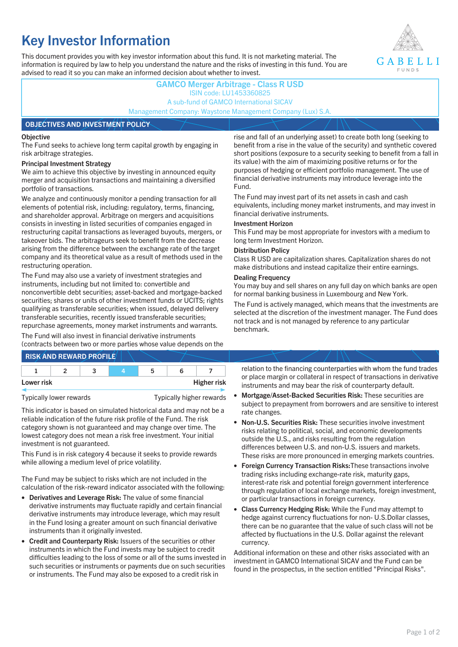# **Key Investor Information**

This document provides you with key investor information about this fund. It is not marketing material. The information is required by law to help you understand the nature and the risks of investing in this fund. You are advised to read it so you can make an informed decision about whether to invest.



## **GAMCO Merger Arbitrage - Class R USD** ISIN code: LU1453360825 A sub-fund of GAMCO International SICAV Management Company: Waystone Management Company (Lux) S.A.

#### **OBJECTIVES AND INVESTMENT POLICY**

#### **Objective**

The Fund seeks to achieve long term capital growth by engaging in risk arbitrage strategies.

#### **Principal Investment Strategy**

We aim to achieve this objective by investing in announced equity merger and acquisition transactions and maintaining a diversified portfolio of transactions.

We analyze and continuously monitor a pending transaction for all elements of potential risk, including: regulatory, terms, financing, and shareholder approval. Arbitrage on mergers and acquisitions consists in investing in listed securities of companies engaged in restructuring capital transactions as leveraged buyouts, mergers, or takeover bids. The arbitrageurs seek to benefit from the decrease arising from the difference between the exchange rate of the target company and its theoretical value as a result of methods used in the restructuring operation.

The Fund may also use a variety of investment strategies and instruments, including but not limited to: convertible and nonconvertible debt securities; asset-backed and mortgage-backed securities; shares or units of other investment funds or UCITS; rights qualifying as transferable securities; when issued, delayed delivery transferable securities, recently issued transferable securities; repurchase agreements, money market instruments and warrants.

The Fund will also invest in financial derivative instruments (contracts between two or more parties whose value depends on the

|            | <b>RISK AND REWARD PROFILE</b> |   |                    |
|------------|--------------------------------|---|--------------------|
|            |                                | ∽ |                    |
| Lower risk |                                |   | <b>Higher risk</b> |

Typically lower rewards Typically higher rewards

This indicator is based on simulated historical data and may not be a reliable indication of the future risk profile of the Fund. The risk category shown is not guaranteed and may change over time. The lowest category does not mean a risk free investment. Your initial investment is not guaranteed.

This Fund is in risk category 4 because it seeks to provide rewards while allowing a medium level of price volatility.

The Fund may be subject to risks which are not included in the calculation of the risk-reward indicator associated with the following:

- **Derivatives and Leverage Risk:** The value of some financial derivative instruments may fluctuate rapidly and certain financial derivative instruments may introduce leverage, which may result in the Fund losing a greater amount on such financial derivative instruments than it originally invested.
- **Credit and Counterparty Risk:** Issuers of the securities or other instruments in which the Fund invests may be subject to credit difficulties leading to the loss of some or all of the sums invested in such securities or instruments or payments due on such securities or instruments. The Fund may also be exposed to a credit risk in

rise and fall of an underlying asset) to create both long (seeking to benefit from a rise in the value of the security) and synthetic covered short positions (exposure to a security seeking to benefit from a fall in its value) with the aim of maximizing positive returns or for the purposes of hedging or efficient portfolio management. The use of financial derivative instruments may introduce leverage into the Fund.

The Fund may invest part of its net assets in cash and cash equivalents, including money market instruments, and may invest in financial derivative instruments.

#### **Investment Horizon**

This Fund may be most appropriate for investors with a medium to long term Investment Horizon.

#### **Distribution Policy**

Class R USD are capitalization shares. Capitalization shares do not make distributions and instead capitalize their entire earnings.

#### **Dealing Frequency**

You may buy and sell shares on any full day on which banks are open for normal banking business in Luxembourg and New York.

The Fund is actively managed, which means that the investments are selected at the discretion of the investment manager. The Fund does not track and is not managed by reference to any particular benchmark.

relation to the financing counterparties with whom the fund trades or place margin or collateral in respect of transactions in derivative instruments and may bear the risk of counterparty default.

- **Mortgage/Asset-Backed Securities Risk:** These securities are subject to prepayment from borrowers and are sensitive to interest rate changes.
- **Non-U.S. Securities Risk:** These securities involve investment risks relating to political, social, and economic developments outside the U.S., and risks resulting from the regulation differences between U.S. and non-U.S. issuers and markets. These risks are more pronounced in emerging markets countries.
- **Foreign Currency Transaction Risks:**These transactions involve trading risks including exchange-rate risk, maturity gaps, interest-rate risk and potential foreign government interference through regulation of local exchange markets, foreign investment, or particular transactions in foreign currency.
- **Class Currency Hedging Risk:** While the Fund may attempt to hedge against currency fluctuations for non- U.S.Dollar classes, there can be no guarantee that the value of such class will not be affected by fluctuations in the U.S. Dollar against the relevant currency.

Additional information on these and other risks associated with an investment in GAMCO International SICAV and the Fund can be found in the prospectus, in the section entitled "Principal Risks".